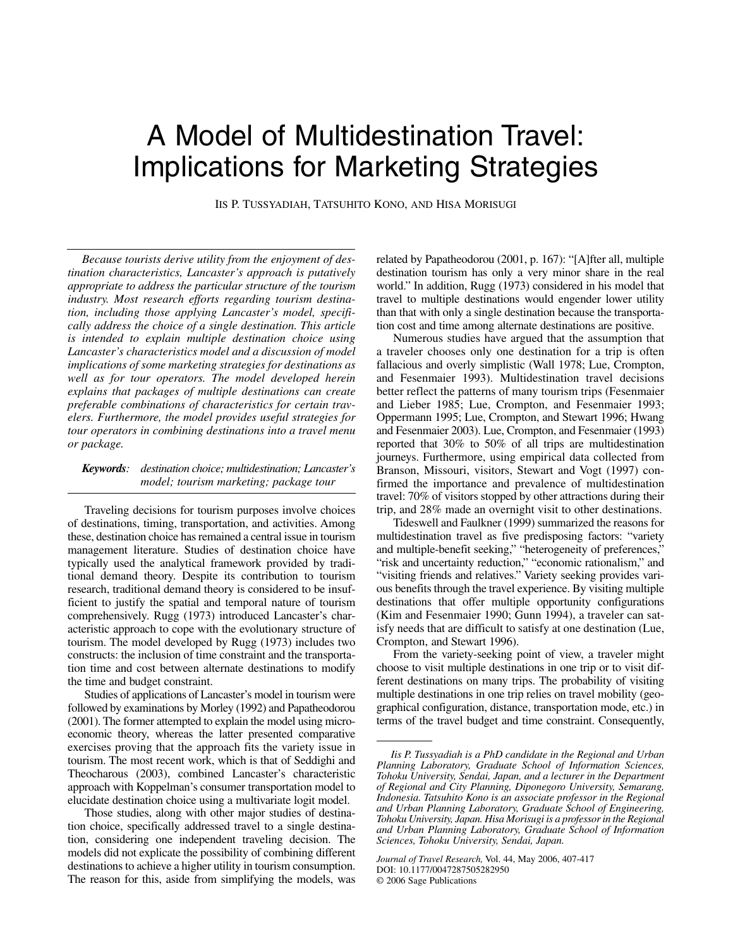# A Model of Multidestination Travel: Implications for Marketing Strategies

IIS P. TUSSYADIAH, TATSUHITO KONO, AND HISA MORISUGI

*Because tourists derive utility from the enjoyment of destination characteristics, Lancaster's approach is putatively appropriate to address the particular structure of the tourism industry. Most research efforts regarding tourism destination, including those applying Lancaster's model, specifically address the choice of a single destination. This article is intended to explain multiple destination choice using Lancaster's characteristics model and a discussion of model implications of some marketing strategies for destinations as well as for tour operators. The model developed herein explains that packages of multiple destinations can create preferable combinations of characteristics for certain travelers. Furthermore, the model provides useful strategies for tour operators in combining destinations into a travel menu or package.*

*Keywords: destination choice; multidestination; Lancaster's model; tourism marketing; package tour*

Traveling decisions for tourism purposes involve choices of destinations, timing, transportation, and activities. Among these, destination choice has remained a central issue in tourism management literature. Studies of destination choice have typically used the analytical framework provided by traditional demand theory. Despite its contribution to tourism research, traditional demand theory is considered to be insufficient to justify the spatial and temporal nature of tourism comprehensively. Rugg (1973) introduced Lancaster's characteristic approach to cope with the evolutionary structure of tourism. The model developed by Rugg (1973) includes two constructs: the inclusion of time constraint and the transportation time and cost between alternate destinations to modify the time and budget constraint.

Studies of applications of Lancaster's model in tourism were followed by examinations by Morley (1992) and Papatheodorou (2001). The former attempted to explain the model using microeconomic theory, whereas the latter presented comparative exercises proving that the approach fits the variety issue in tourism. The most recent work, which is that of Seddighi and Theocharous (2003), combined Lancaster's characteristic approach with Koppelman's consumer transportation model to elucidate destination choice using a multivariate logit model.

Those studies, along with other major studies of destination choice, specifically addressed travel to a single destination, considering one independent traveling decision. The models did not explicate the possibility of combining different destinations to achieve a higher utility in tourism consumption. The reason for this, aside from simplifying the models, was

related by Papatheodorou (2001, p. 167): "[A]fter all, multiple destination tourism has only a very minor share in the real world." In addition, Rugg (1973) considered in his model that travel to multiple destinations would engender lower utility than that with only a single destination because the transportation cost and time among alternate destinations are positive.

Numerous studies have argued that the assumption that a traveler chooses only one destination for a trip is often fallacious and overly simplistic (Wall 1978; Lue, Crompton, and Fesenmaier 1993). Multidestination travel decisions better reflect the patterns of many tourism trips (Fesenmaier and Lieber 1985; Lue, Crompton, and Fesenmaier 1993; Oppermann 1995; Lue, Crompton, and Stewart 1996; Hwang and Fesenmaier 2003). Lue, Crompton, and Fesenmaier (1993) reported that 30% to 50% of all trips are multidestination journeys. Furthermore, using empirical data collected from Branson, Missouri, visitors, Stewart and Vogt (1997) confirmed the importance and prevalence of multidestination travel: 70% of visitors stopped by other attractions during their trip, and 28% made an overnight visit to other destinations.

Tideswell and Faulkner (1999) summarized the reasons for multidestination travel as five predisposing factors: "variety and multiple-benefit seeking," "heterogeneity of preferences," "risk and uncertainty reduction," "economic rationalism," and "visiting friends and relatives." Variety seeking provides various benefits through the travel experience. By visiting multiple destinations that offer multiple opportunity configurations (Kim and Fesenmaier 1990; Gunn 1994), a traveler can satisfy needs that are difficult to satisfy at one destination (Lue, Crompton, and Stewart 1996).

From the variety-seeking point of view, a traveler might choose to visit multiple destinations in one trip or to visit different destinations on many trips. The probability of visiting multiple destinations in one trip relies on travel mobility (geographical configuration, distance, transportation mode, etc.) in terms of the travel budget and time constraint. Consequently,

*Iis P. Tussyadiah is a PhD candidate in the Regional and Urban Planning Laboratory, Graduate School of Information Sciences, Tohoku University, Sendai, Japan, and a lecturer in the Department of Regional and City Planning, Diponegoro University, Semarang, Indonesia. Tatsuhito Kono is an associate professor in the Regional and Urban Planning Laboratory, Graduate School of Engineering, Tohoku University, Japan. Hisa Morisugi is a professor in the Regional and Urban Planning Laboratory, Graduate School of Information Sciences, Tohoku University, Sendai, Japan.*

*Journal of Travel Research,* Vol. 44, May 2006, 407-417 DOI: 10.1177/0047287505282950 © 2006 Sage Publications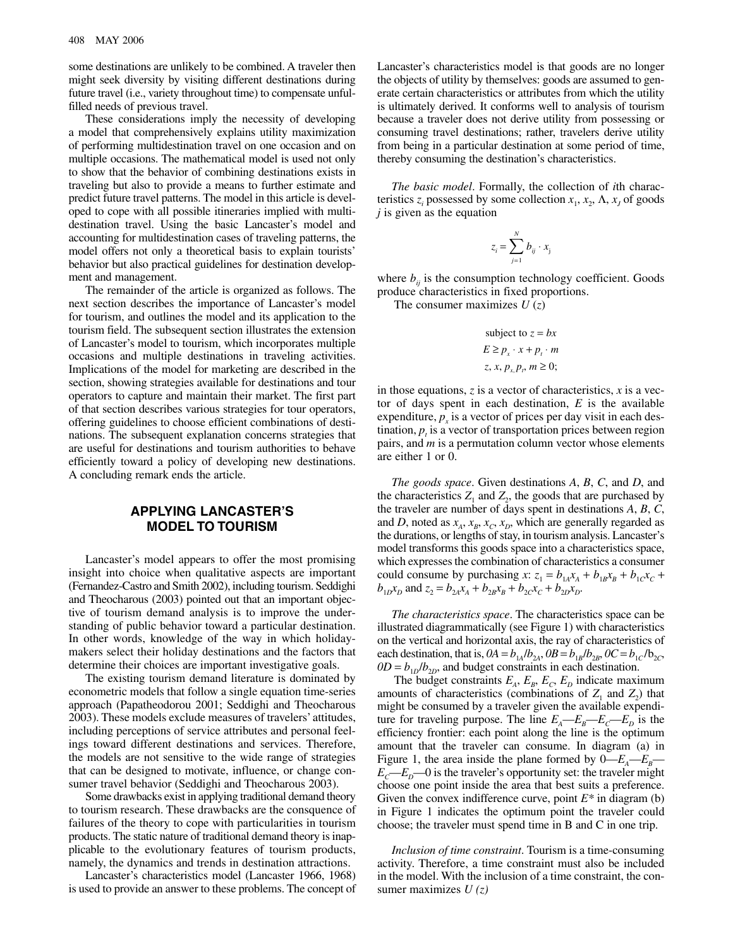some destinations are unlikely to be combined. A traveler then might seek diversity by visiting different destinations during future travel (i.e., variety throughout time) to compensate unfulfilled needs of previous travel.

These considerations imply the necessity of developing a model that comprehensively explains utility maximization of performing multidestination travel on one occasion and on multiple occasions. The mathematical model is used not only to show that the behavior of combining destinations exists in traveling but also to provide a means to further estimate and predict future travel patterns. The model in this article is developed to cope with all possible itineraries implied with multidestination travel. Using the basic Lancaster's model and accounting for multidestination cases of traveling patterns, the model offers not only a theoretical basis to explain tourists' behavior but also practical guidelines for destination development and management.

The remainder of the article is organized as follows. The next section describes the importance of Lancaster's model for tourism, and outlines the model and its application to the tourism field. The subsequent section illustrates the extension of Lancaster's model to tourism, which incorporates multiple occasions and multiple destinations in traveling activities. Implications of the model for marketing are described in the section, showing strategies available for destinations and tour operators to capture and maintain their market. The first part of that section describes various strategies for tour operators, offering guidelines to choose efficient combinations of destinations. The subsequent explanation concerns strategies that are useful for destinations and tourism authorities to behave efficiently toward a policy of developing new destinations. A concluding remark ends the article.

## **APPLYING LANCASTER'S MODEL TO TOURISM**

Lancaster's model appears to offer the most promising insight into choice when qualitative aspects are important (Fernandez-Castro and Smith 2002), including tourism. Seddighi and Theocharous (2003) pointed out that an important objective of tourism demand analysis is to improve the understanding of public behavior toward a particular destination. In other words, knowledge of the way in which holidaymakers select their holiday destinations and the factors that determine their choices are important investigative goals.

The existing tourism demand literature is dominated by econometric models that follow a single equation time-series approach (Papatheodorou 2001; Seddighi and Theocharous 2003). These models exclude measures of travelers' attitudes, including perceptions of service attributes and personal feelings toward different destinations and services. Therefore, the models are not sensitive to the wide range of strategies that can be designed to motivate, influence, or change consumer travel behavior (Seddighi and Theocharous 2003).

Some drawbacks exist in applying traditional demand theory to tourism research. These drawbacks are the consquence of failures of the theory to cope with particularities in tourism products. The static nature of traditional demand theory is inapplicable to the evolutionary features of tourism products, namely, the dynamics and trends in destination attractions.

Lancaster's characteristics model (Lancaster 1966, 1968) is used to provide an answer to these problems. The concept of Lancaster's characteristics model is that goods are no longer the objects of utility by themselves: goods are assumed to generate certain characteristics or attributes from which the utility is ultimately derived. It conforms well to analysis of tourism because a traveler does not derive utility from possessing or consuming travel destinations; rather, travelers derive utility from being in a particular destination at some period of time, thereby consuming the destination's characteristics.

*The basic model*. Formally, the collection of *i*th characteristics *z<sub>i</sub>* possessed by some collection  $x_1, x_2, \Lambda, x_i$  of goods *j* is given as the equation

$$
z_i = \sum_{j=1}^N b_{ij} \cdot x_j
$$

where  $b_{ij}$  is the consumption technology coefficient. Goods produce characteristics in fixed proportions.

The consumer maximizes *U* (*z*)

subject to 
$$
z = bx
$$
  
\n $E \ge p_x \cdot x + p_t \cdot m$   
\n $z, x, p_x, p_t, m \ge 0;$ 

in those equations, *z* is a vector of characteristics, *x* is a vector of days spent in each destination, *E* is the available expenditure,  $p<sub>x</sub>$  is a vector of prices per day visit in each destination,  $p_t$  is a vector of transportation prices between region pairs, and *m* is a permutation column vector whose elements are either 1 or 0.

*The goods space*. Given destinations *A*, *B*, *C*, and *D*, and the characteristics  $Z_1$  and  $Z_2$ , the goods that are purchased by the traveler are number of days spent in destinations *A*, *B*, *C*, and *D*, noted as  $x_A$ ,  $x_B$ ,  $x_C$ ,  $x_D$ , which are generally regarded as the durations, or lengths of stay, in tourism analysis. Lancaster's model transforms this goods space into a characteristics space, which expresses the combination of characteristics a consumer could consume by purchasing *x*:  $z_1 = b_{1A}x_A + b_{1B}x_B + b_{1C}x_C$  +  $b_{1D}x_D$  and  $z_2 = b_{2A}x_A + b_{2B}x_B + b_{2C}x_C + b_{2D}x_D$ .

*The characteristics space*. The characteristics space can be illustrated diagrammatically (see Figure 1) with characteristics on the vertical and horizontal axis, the ray of characteristics of each destination, that is,  $0A = b_{1A}/b_{2A}$ ,  $0B = b_{1B}/b_{2B}$ ,  $0C = b_{1C}/b_{2C}$ ,  $OD = b_{1D}/b_{2D}$ , and budget constraints in each destination.

The budget constraints  $E_A$ ,  $E_B$ ,  $E_C$ ,  $E_D$  indicate maximum amounts of characteristics (combinations of  $Z_1$  and  $Z_2$ ) that might be consumed by a traveler given the available expenditure for traveling purpose. The line  $E_A \rightarrow E_B \rightarrow E_C \rightarrow E_D$  is the efficiency frontier: each point along the line is the optimum amount that the traveler can consume. In diagram (a) in Figure 1, the area inside the plane formed by  $0 - E_A - E_B$  $E_c$ — $E_p$ —0 is the traveler's opportunity set: the traveler might choose one point inside the area that best suits a preference. Given the convex indifference curve, point *E\** in diagram (b) in Figure 1 indicates the optimum point the traveler could choose; the traveler must spend time in B and C in one trip.

*Inclusion of time constraint*. Tourism is a time-consuming activity. Therefore, a time constraint must also be included in the model. With the inclusion of a time constraint, the consumer maximizes *U (z)*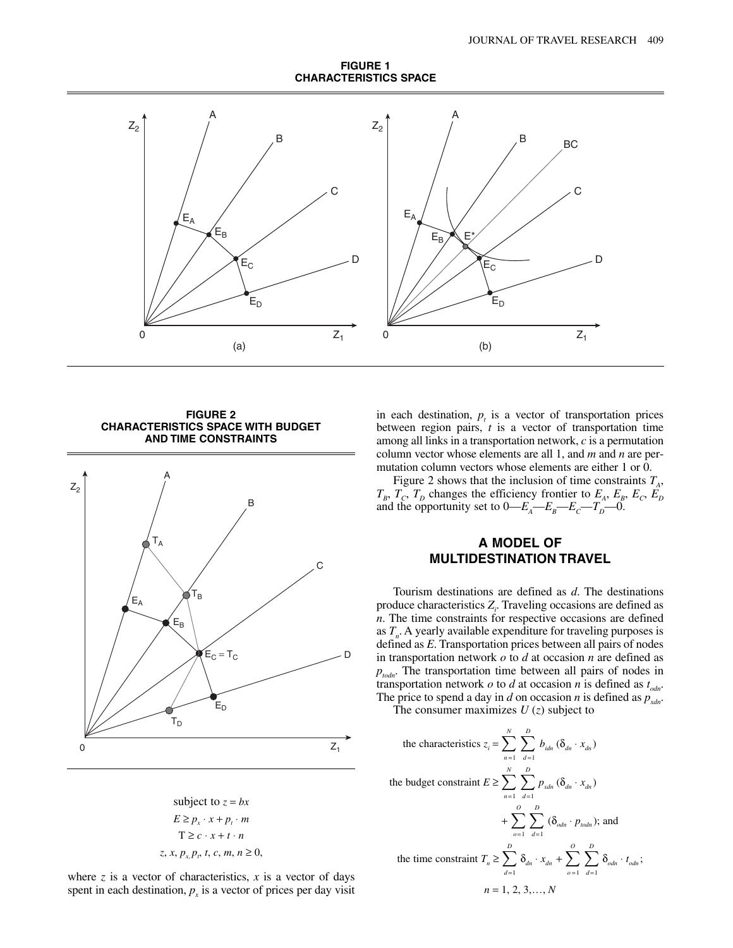**FIGURE 1 CHARACTERISTICS SPACE**



**FIGURE 2 CHARACTERISTICS SPACE WITH BUDGET AND TIME CONSTRAINTS**



subject to  $z = bx$  $E \geq p_x \cdot x + p_t \cdot m$  $T \geq c \cdot x + t \cdot n$  $z, x, p_{x}p_{t}, t, c, m, n \ge 0,$ 

where  $z$  is a vector of characteristics,  $x$  is a vector of days spent in each destination,  $p<sub>x</sub>$  is a vector of prices per day visit in each destination,  $p_t$  is a vector of transportation prices between region pairs, *t* is a vector of transportation time among all links in a transportation network, *c* is a permutation column vector whose elements are all 1, and *m* and *n* are permutation column vectors whose elements are either 1 or 0.

Figure 2 shows that the inclusion of time constraints  $T_A$ ,  $T_B$ ,  $T_C$ ,  $T_D$  changes the efficiency frontier to  $E_A$ ,  $E_B$ ,  $E_C$ ,  $E_D$ and the opportunity set to  $0-E_A-E_B-E_C-T_D$ —0.

## **A MODEL OF MULTIDESTINATION TRAVEL**

Tourism destinations are defined as *d*. The destinations produce characteristics  $Z_i$ . Traveling occasions are defined as *n*. The time constraints for respective occasions are defined as  $T_n$ . A yearly available expenditure for traveling purposes is defined as *E*. Transportation prices between all pairs of nodes in transportation network *o* to *d* at occasion *n* are defined as  $p_{\text{total}}$ . The transportation time between all pairs of nodes in transportation network  $o$  to  $d$  at occasion  $n$  is defined as  $t_{\text{odn}}$ . The price to spend a day in *d* on occasion *n* is defined as  $p_{xdn}$ . The consumer maximizes  $U(z)$  subject to

the characteristics 
$$
z_i = \sum_{n=1}^{N} \sum_{d=1}^{D} b_{idn} (\delta_{dn} \cdot x_{dn})
$$
  
\nthe budget constraint  $E \ge \sum_{n=1}^{N} \sum_{d=1}^{D} p_{xdn} (\delta_{dn} \cdot x_{dn})$   
\n $+ \sum_{o=1}^{O} \sum_{d=1}^{D} (\delta_{odn} \cdot p_{total})$ ; and  
\nthe time constraint  $T_n \ge \sum_{d=1}^{D} \delta_{dn} \cdot x_{dn} + \sum_{o=1}^{O} \sum_{d=1}^{D} \delta_{odn} \cdot t_{odn}$ ;  
\n $n = 1, 2, 3, ..., N$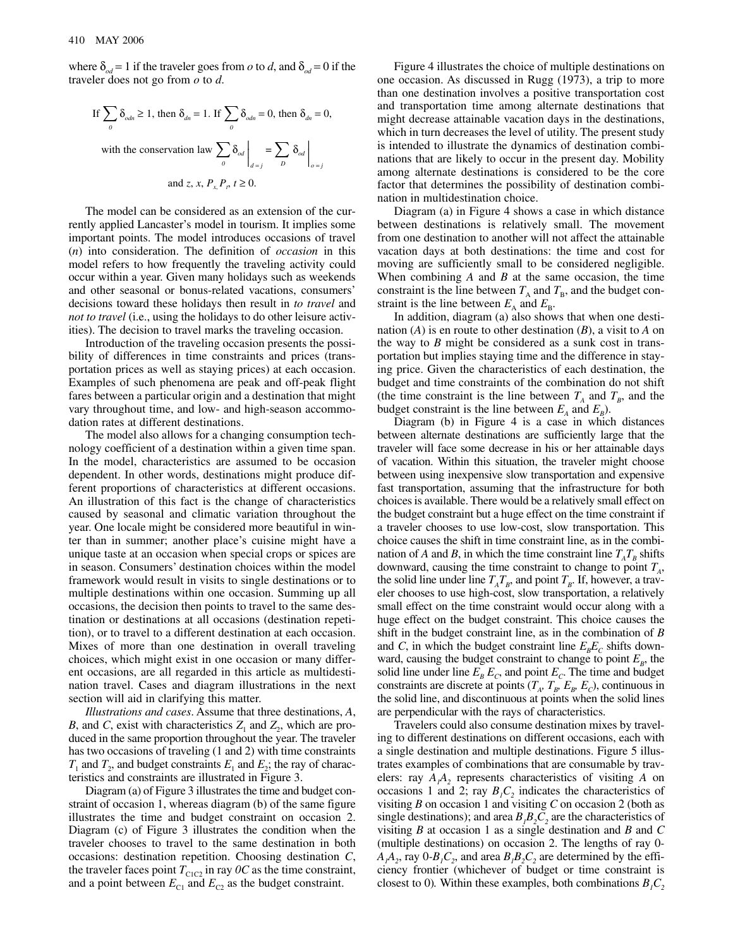where  $\delta_{od} = 1$  if the traveler goes from *o* to *d*, and  $\delta_{od} = 0$  if the traveler does not go from *o* to *d*.

If 
$$
\sum_{o} \delta_{odn} \ge 1
$$
, then  $\delta_{dn} = 1$ . If  $\sum_{o} \delta_{odn} = 0$ , then  $\delta_{dn} = 0$ ,  
with the conservation law  $\sum_{o} \delta_{od} \Big|_{d=j} = \sum_{o} \delta_{od} \Big|_{o=j}$   
and *z*, *x*, *P*<sub>x</sub>, *P*<sub>r</sub>, *t*  $\ge 0$ .

The model can be considered as an extension of the currently applied Lancaster's model in tourism. It implies some important points. The model introduces occasions of travel (*n*) into consideration. The definition of *occasion* in this model refers to how frequently the traveling activity could occur within a year. Given many holidays such as weekends and other seasonal or bonus-related vacations, consumers' decisions toward these holidays then result in *to travel* and *not to travel* (i.e., using the holidays to do other leisure activities). The decision to travel marks the traveling occasion.

Introduction of the traveling occasion presents the possibility of differences in time constraints and prices (transportation prices as well as staying prices) at each occasion. Examples of such phenomena are peak and off-peak flight fares between a particular origin and a destination that might vary throughout time, and low- and high-season accommodation rates at different destinations.

The model also allows for a changing consumption technology coefficient of a destination within a given time span. In the model, characteristics are assumed to be occasion dependent. In other words, destinations might produce different proportions of characteristics at different occasions. An illustration of this fact is the change of characteristics caused by seasonal and climatic variation throughout the year. One locale might be considered more beautiful in winter than in summer; another place's cuisine might have a unique taste at an occasion when special crops or spices are in season. Consumers' destination choices within the model framework would result in visits to single destinations or to multiple destinations within one occasion. Summing up all occasions, the decision then points to travel to the same destination or destinations at all occasions (destination repetition), or to travel to a different destination at each occasion. Mixes of more than one destination in overall traveling choices, which might exist in one occasion or many different occasions, are all regarded in this article as multidestination travel. Cases and diagram illustrations in the next section will aid in clarifying this matter.

*Illustrations and cases*. Assume that three destinations, *A*, *B*, and *C*, exist with characteristics  $Z_1$  and  $Z_2$ , which are produced in the same proportion throughout the year. The traveler has two occasions of traveling (1 and 2) with time constraints  $T_1$  and  $T_2$ , and budget constraints  $E_1$  and  $E_2$ ; the ray of characteristics and constraints are illustrated in Figure 3.

Diagram (a) of Figure 3 illustrates the time and budget constraint of occasion 1, whereas diagram (b) of the same figure illustrates the time and budget constraint on occasion 2. Diagram (c) of Figure 3 illustrates the condition when the traveler chooses to travel to the same destination in both occasions: destination repetition. Choosing destination *C*, the traveler faces point  $T_{\text{ClC2}}$  in ray  $\theta C$  as the time constraint, and a point between  $E_{C1}$  and  $E_{C2}$  as the budget constraint.

Figure 4 illustrates the choice of multiple destinations on one occasion. As discussed in Rugg (1973), a trip to more than one destination involves a positive transportation cost and transportation time among alternate destinations that might decrease attainable vacation days in the destinations, which in turn decreases the level of utility. The present study is intended to illustrate the dynamics of destination combinations that are likely to occur in the present day. Mobility among alternate destinations is considered to be the core factor that determines the possibility of destination combination in multidestination choice.

Diagram (a) in Figure 4 shows a case in which distance between destinations is relatively small. The movement from one destination to another will not affect the attainable vacation days at both destinations: the time and cost for moving are sufficiently small to be considered negligible. When combining *A* and *B* at the same occasion, the time constraint is the line between  $T_A$  and  $T_B$ , and the budget constraint is the line between  $E_A$  and  $E_B$ .

In addition, diagram (a) also shows that when one destination (*A*) is en route to other destination (*B*), a visit to *A* on the way to *B* might be considered as a sunk cost in transportation but implies staying time and the difference in staying price. Given the characteristics of each destination, the budget and time constraints of the combination do not shift (the time constraint is the line between  $T_A$  and  $T_B$ , and the budget constraint is the line between  $E_A$  and  $E_B$ ).

Diagram (b) in Figure 4 is a case in which distances between alternate destinations are sufficiently large that the traveler will face some decrease in his or her attainable days of vacation. Within this situation, the traveler might choose between using inexpensive slow transportation and expensive fast transportation, assuming that the infrastructure for both choices is available. There would be a relatively small effect on the budget constraint but a huge effect on the time constraint if a traveler chooses to use low-cost, slow transportation. This choice causes the shift in time constraint line, as in the combination of *A* and *B*, in which the time constraint line  $T_A T_B$  shifts downward, causing the time constraint to change to point  $T_A$ , the solid line under line  $T_A T_B$ , and point  $T_B$ . If, however, a traveler chooses to use high-cost, slow transportation, a relatively small effect on the time constraint would occur along with a huge effect on the budget constraint. This choice causes the shift in the budget constraint line, as in the combination of *B* and *C*, in which the budget constraint line  $E<sub>B</sub>E<sub>C</sub>$  shifts downward, causing the budget constraint to change to point  $E<sub>p</sub>$ , the solid line under line  $E_B E_C$ , and point  $E_C$ . The time and budget constraints are discrete at points  $(T_A, T_B, E_B, E_C)$ , continuous in the solid line, and discontinuous at points when the solid lines are perpendicular with the rays of characteristics.

Travelers could also consume destination mixes by traveling to different destinations on different occasions, each with a single destination and multiple destinations. Figure 5 illustrates examples of combinations that are consumable by travelers: ray  $A_1A_2$  represents characteristics of visiting  $A$  on occasions 1 and 2; ray  $B_1C_2$  indicates the characteristics of visiting *B* on occasion 1 and visiting *C* on occasion 2 (both as single destinations); and area  $B_1B_2C_2$  are the characteristics of visiting *B* at occasion 1 as a single destination and *B* and *C* (multiple destinations) on occasion 2. The lengths of ray 0*-*  $A_1A_2$ , ray  $0$ - $B_1C_2$ , and area  $B_1B_2C_2$  are determined by the efficiency frontier (whichever of budget or time constraint is closest to 0). Within these examples, both combinations  $B_1C_2$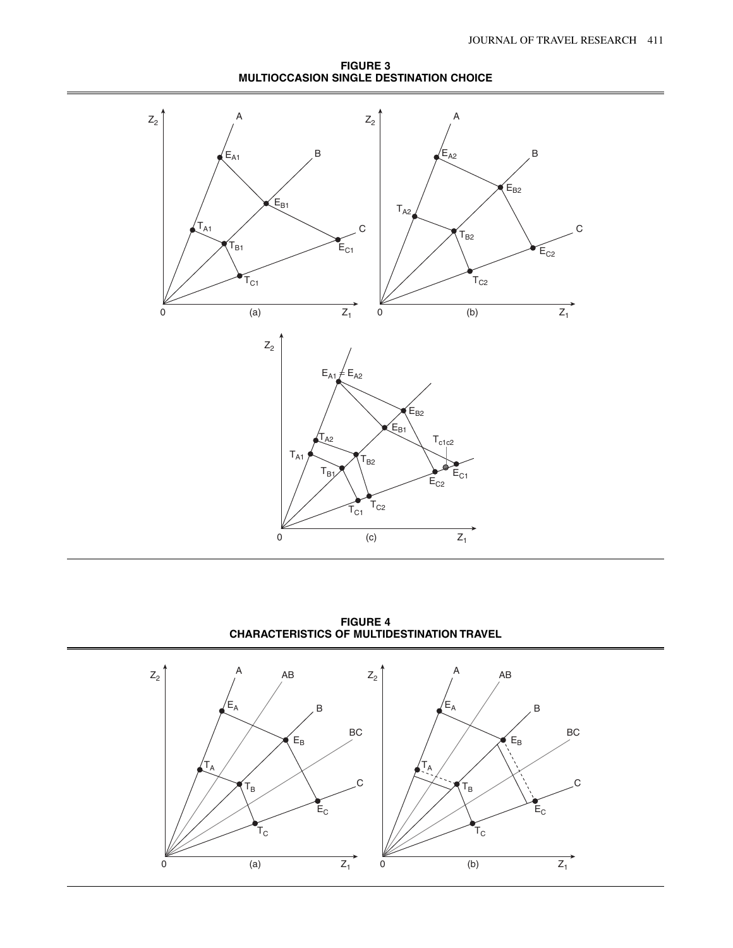**FIGURE 3 MULTIOCCASION SINGLE DESTINATION CHOICE**



**FIGURE 4 CHARACTERISTICS OF MULTIDESTINATION TRAVEL**

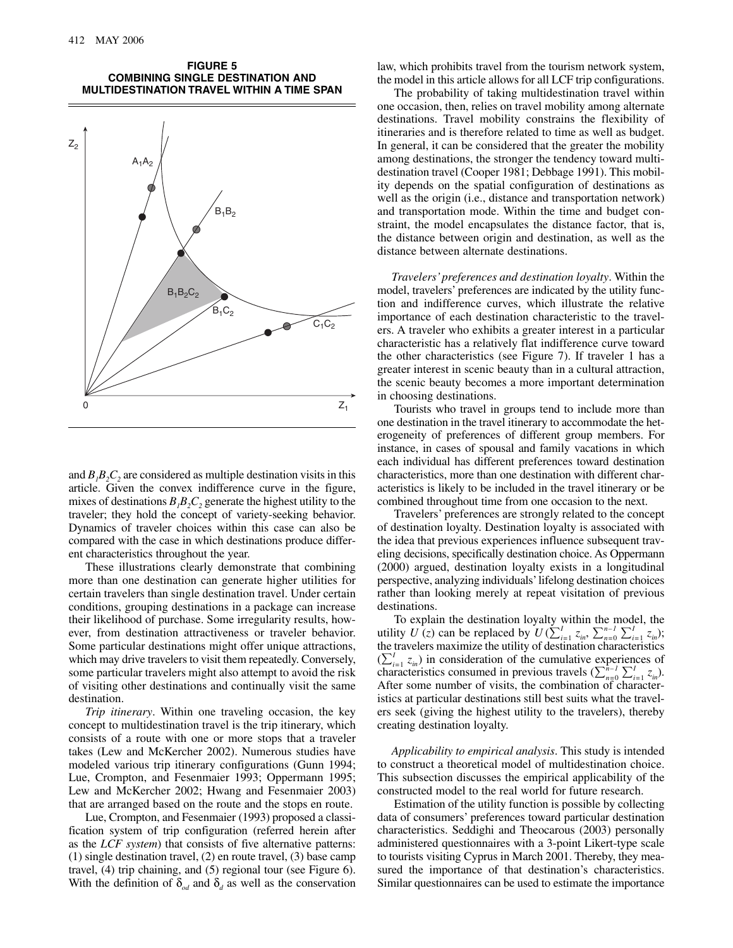**FIGURE 5 COMBINING SINGLE DESTINATION AND MULTIDESTINATION TRAVEL WITHIN A TIME SPAN**



and  $B_1B_2C_2$  are considered as multiple destination visits in this article. Given the convex indifference curve in the figure, mixes of destinations  $B_1B_2C_2$  generate the highest utility to the traveler; they hold the concept of variety-seeking behavior. Dynamics of traveler choices within this case can also be compared with the case in which destinations produce different characteristics throughout the year.

These illustrations clearly demonstrate that combining more than one destination can generate higher utilities for certain travelers than single destination travel. Under certain conditions, grouping destinations in a package can increase their likelihood of purchase. Some irregularity results, however, from destination attractiveness or traveler behavior. Some particular destinations might offer unique attractions, which may drive travelers to visit them repeatedly. Conversely, some particular travelers might also attempt to avoid the risk of visiting other destinations and continually visit the same destination.

*Trip itinerary*. Within one traveling occasion, the key concept to multidestination travel is the trip itinerary, which consists of a route with one or more stops that a traveler takes (Lew and McKercher 2002). Numerous studies have modeled various trip itinerary configurations (Gunn 1994; Lue, Crompton, and Fesenmaier 1993; Oppermann 1995; Lew and McKercher 2002; Hwang and Fesenmaier 2003) that are arranged based on the route and the stops en route.

Lue, Crompton, and Fesenmaier (1993) proposed a classification system of trip configuration (referred herein after as the *LCF system*) that consists of five alternative patterns: (1) single destination travel, (2) en route travel, (3) base camp travel, (4) trip chaining, and (5) regional tour (see Figure 6). With the definition of  $\delta_{od}$  and  $\delta_d$  as well as the conservation law, which prohibits travel from the tourism network system, the model in this article allows for all LCF trip configurations.

The probability of taking multidestination travel within one occasion, then, relies on travel mobility among alternate destinations. Travel mobility constrains the flexibility of itineraries and is therefore related to time as well as budget. In general, it can be considered that the greater the mobility among destinations, the stronger the tendency toward multidestination travel (Cooper 1981; Debbage 1991). This mobility depends on the spatial configuration of destinations as well as the origin (i.e., distance and transportation network) and transportation mode. Within the time and budget constraint, the model encapsulates the distance factor, that is, the distance between origin and destination, as well as the distance between alternate destinations.

*Travelers'preferences and destination loyalty*. Within the model, travelers' preferences are indicated by the utility function and indifference curves, which illustrate the relative importance of each destination characteristic to the travelers. A traveler who exhibits a greater interest in a particular characteristic has a relatively flat indifference curve toward the other characteristics (see Figure 7). If traveler 1 has a greater interest in scenic beauty than in a cultural attraction, the scenic beauty becomes a more important determination in choosing destinations.

Tourists who travel in groups tend to include more than one destination in the travel itinerary to accommodate the heterogeneity of preferences of different group members. For instance, in cases of spousal and family vacations in which each individual has different preferences toward destination characteristics, more than one destination with different characteristics is likely to be included in the travel itinerary or be combined throughout time from one occasion to the next.

Travelers' preferences are strongly related to the concept of destination loyalty. Destination loyalty is associated with the idea that previous experiences influence subsequent traveling decisions, specifically destination choice. As Oppermann (2000) argued, destination loyalty exists in a longitudinal perspective, analyzing individuals'lifelong destination choices rather than looking merely at repeat visitation of previous destinations.

To explain the destination loyalty within the model, the utility *U* (*z*) can be replaced by  $U(\sum_{i=1}^{I} z_{in}, \sum_{n=0}^{n-1} \sum_{i=1}^{I} z_{in})$ ; the travelers maximize the utility of destination characteristics  $(\sum_{i=1}^{I} z_{in})$  in consideration of the cumulative experiences of characteristics consumed in previous travels  $(\sum_{n=0}^{\tilde{n}-1} \sum_{i=1}^{I} z_{in})$ . After some number of visits, the combination of characteristics at particular destinations still best suits what the travelers seek (giving the highest utility to the travelers), thereby creating destination loyalty.

*Applicability to empirical analysis*. This study is intended to construct a theoretical model of multidestination choice. This subsection discusses the empirical applicability of the constructed model to the real world for future research.

Estimation of the utility function is possible by collecting data of consumers' preferences toward particular destination characteristics. Seddighi and Theocarous (2003) personally administered questionnaires with a 3-point Likert-type scale to tourists visiting Cyprus in March 2001. Thereby, they measured the importance of that destination's characteristics. Similar questionnaires can be used to estimate the importance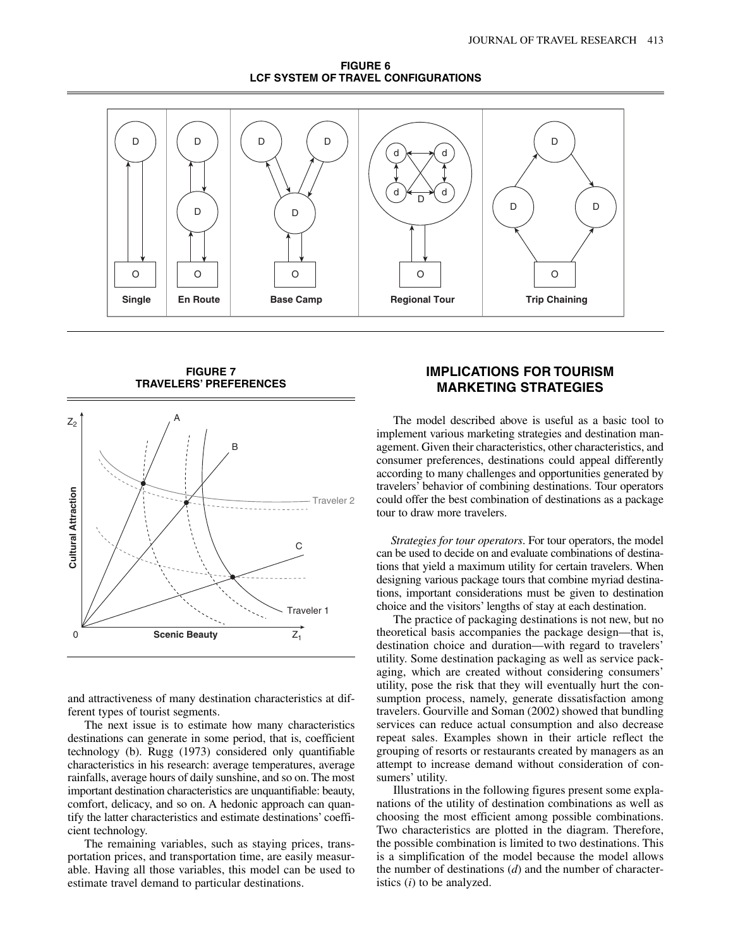**FIGURE 6 LCF SYSTEM OF TRAVEL CONFIGURATIONS**





and attractiveness of many destination characteristics at different types of tourist segments.

The next issue is to estimate how many characteristics destinations can generate in some period, that is, coefficient technology (b). Rugg (1973) considered only quantifiable characteristics in his research: average temperatures, average rainfalls, average hours of daily sunshine, and so on. The most important destination characteristics are unquantifiable: beauty, comfort, delicacy, and so on. A hedonic approach can quantify the latter characteristics and estimate destinations' coefficient technology.

The remaining variables, such as staying prices, transportation prices, and transportation time, are easily measurable. Having all those variables, this model can be used to estimate travel demand to particular destinations.

## **IMPLICATIONS FOR TOURISM MARKETING STRATEGIES**

The model described above is useful as a basic tool to implement various marketing strategies and destination management. Given their characteristics, other characteristics, and consumer preferences, destinations could appeal differently according to many challenges and opportunities generated by travelers' behavior of combining destinations. Tour operators could offer the best combination of destinations as a package tour to draw more travelers.

*Strategies for tour operators*. For tour operators, the model can be used to decide on and evaluate combinations of destinations that yield a maximum utility for certain travelers. When designing various package tours that combine myriad destinations, important considerations must be given to destination choice and the visitors' lengths of stay at each destination.

The practice of packaging destinations is not new, but no theoretical basis accompanies the package design—that is, destination choice and duration—with regard to travelers' utility. Some destination packaging as well as service packaging, which are created without considering consumers' utility, pose the risk that they will eventually hurt the consumption process, namely, generate dissatisfaction among travelers. Gourville and Soman (2002) showed that bundling services can reduce actual consumption and also decrease repeat sales. Examples shown in their article reflect the grouping of resorts or restaurants created by managers as an attempt to increase demand without consideration of consumers' utility.

Illustrations in the following figures present some explanations of the utility of destination combinations as well as choosing the most efficient among possible combinations. Two characteristics are plotted in the diagram. Therefore, the possible combination is limited to two destinations. This is a simplification of the model because the model allows the number of destinations (*d*) and the number of characteristics (*i*) to be analyzed.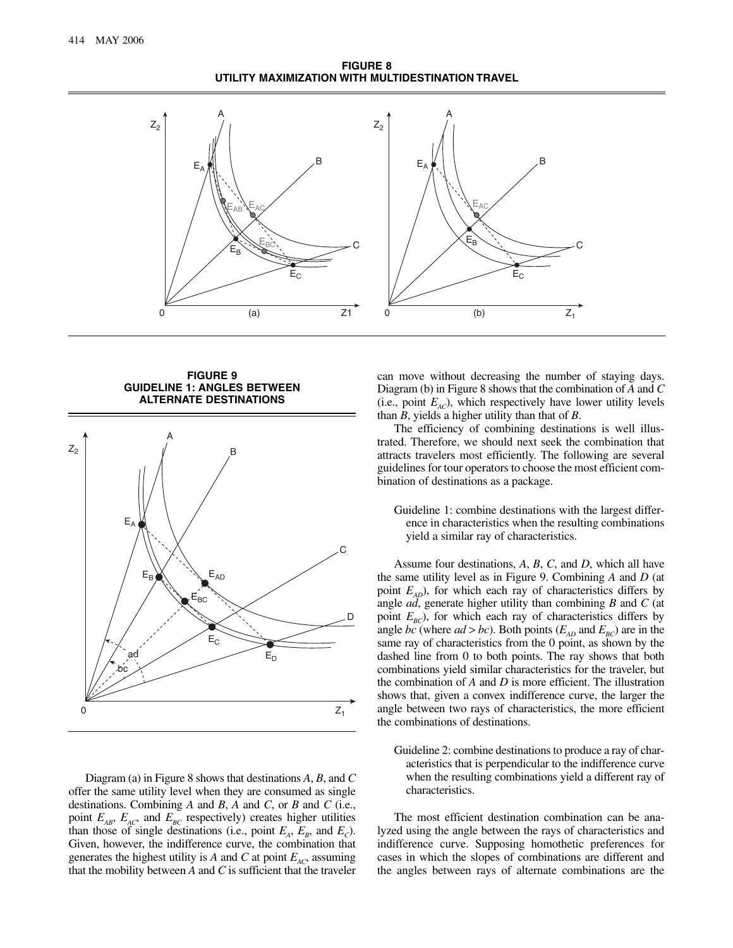**FIGURE 8 UTILITY MAXIMIZATION WITH MULTIDESTINATION TRAVEL**



**FIGURE 9 GUIDELINE 1: ANGLES BETWEEN ALTERNATE DESTINATIONS**



Diagram (a) in Figure 8 shows that destinations *A*, *B*, and *C* offer the same utility level when they are consumed as single destinations. Combining *A* and *B*, *A* and *C*, or *B* and *C* (i.e., point  $E_{AB}$ ,  $E_{AC}$ , and  $E_{BC}$  respectively) creates higher utilities than those of single destinations (i.e., point  $E_A$ ,  $E_B$ , and  $E_C$ ). Given, however, the indifference curve, the combination that generates the highest utility is *A* and *C* at point  $E_{AC}$ , assuming that the mobility between *A* and *C* is sufficient that the traveler

can move without decreasing the number of staying days. Diagram (b) in Figure 8 shows that the combination of *A* and *C* (i.e., point  $E_{AC}$ ), which respectively have lower utility levels than *B*, yields a higher utility than that of *B*.

The efficiency of combining destinations is well illustrated. Therefore, we should next seek the combination that attracts travelers most efficiently. The following are several guidelines for tour operators to choose the most efficient combination of destinations as a package.

Guideline 1: combine destinations with the largest difference in characteristics when the resulting combinations yield a similar ray of characteristics.

Assume four destinations, *A*, *B*, *C*, and *D*, which all have the same utility level as in Figure 9. Combining *A* and *D* (at point  $E_{AD}$ ), for which each ray of characteristics differs by angle *ad*, generate higher utility than combining *B* and *C* (at point  $E_{BC}$ ), for which each ray of characteristics differs by angle *bc* (where  $ad > bc$ ). Both points ( $E_{AD}$  and  $E_{BC}$ ) are in the same ray of characteristics from the 0 point, as shown by the dashed line from 0 to both points. The ray shows that both combinations yield similar characteristics for the traveler, but the combination of *A* and *D* is more efficient. The illustration shows that, given a convex indifference curve, the larger the angle between two rays of characteristics, the more efficient the combinations of destinations.

Guideline 2: combine destinations to produce a ray of characteristics that is perpendicular to the indifference curve when the resulting combinations yield a different ray of characteristics.

The most efficient destination combination can be analyzed using the angle between the rays of characteristics and indifference curve. Supposing homothetic preferences for cases in which the slopes of combinations are different and the angles between rays of alternate combinations are the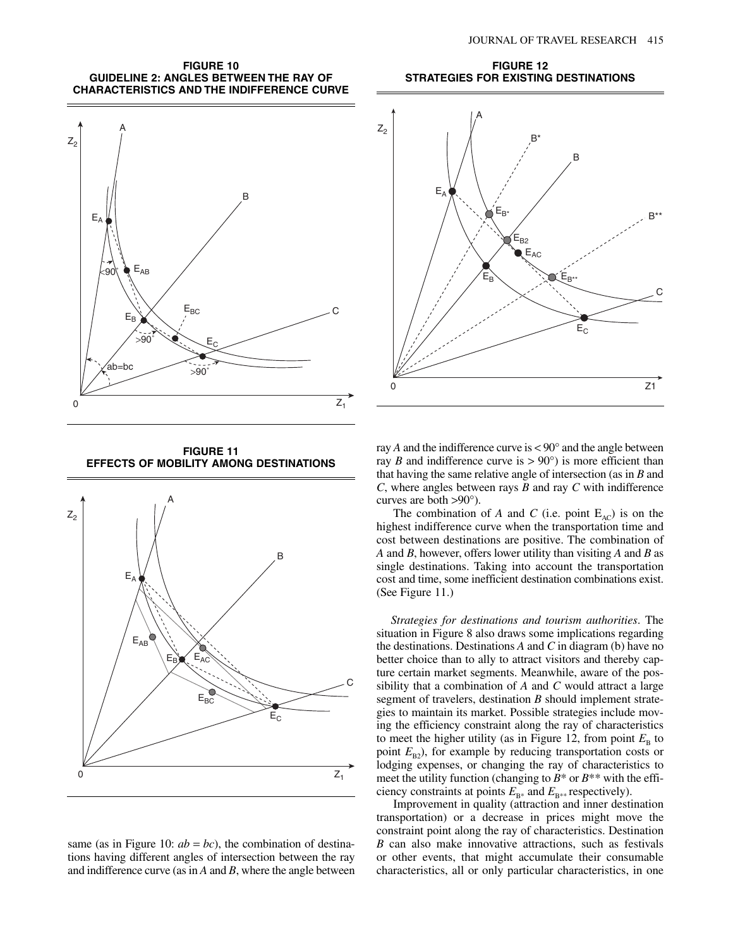**FIGURE 10 GUIDELINE 2: ANGLES BETWEEN THE RAY OF CHARACTERISTICS AND THE INDIFFERENCE CURVE**



**FIGURE 11 EFFECTS OF MOBILITY AMONG DESTINATIONS**



same (as in Figure 10:  $ab = bc$ ), the combination of destinations having different angles of intersection between the ray and indifference curve (as in *A* and *B*, where the angle between

**FIGURE 12 STRATEGIES FOR EXISTING DESTINATIONS**



ray  $A$  and the indifference curve is  $\lt 90^\circ$  and the angle between ray *B* and indifference curve is  $> 90^{\circ}$ ) is more efficient than that having the same relative angle of intersection (as in *B* and *C*, where angles between rays *B* and ray *C* with indifference curves are both >90°).

The combination of *A* and *C* (i.e. point  $E_{AC}$ ) is on the highest indifference curve when the transportation time and cost between destinations are positive. The combination of *A* and *B*, however, offers lower utility than visiting *A* and *B* as single destinations. Taking into account the transportation cost and time, some inefficient destination combinations exist. (See Figure 11.)

*Strategies for destinations and tourism authorities*. The situation in Figure 8 also draws some implications regarding the destinations. Destinations *A* and *C* in diagram (b) have no better choice than to ally to attract visitors and thereby capture certain market segments. Meanwhile, aware of the possibility that a combination of *A* and *C* would attract a large segment of travelers, destination *B* should implement strategies to maintain its market. Possible strategies include moving the efficiency constraint along the ray of characteristics to meet the higher utility (as in Figure 12, from point  $E<sub>B</sub>$  to point  $E_{B2}$ ), for example by reducing transportation costs or lodging expenses, or changing the ray of characteristics to meet the utility function (changing to  $B^*$  or  $B^{**}$  with the efficiency constraints at points  $E_{B*}$  and  $E_{B**}$  respectively).

Improvement in quality (attraction and inner destination transportation) or a decrease in prices might move the constraint point along the ray of characteristics. Destination *B* can also make innovative attractions, such as festivals or other events, that might accumulate their consumable characteristics, all or only particular characteristics, in one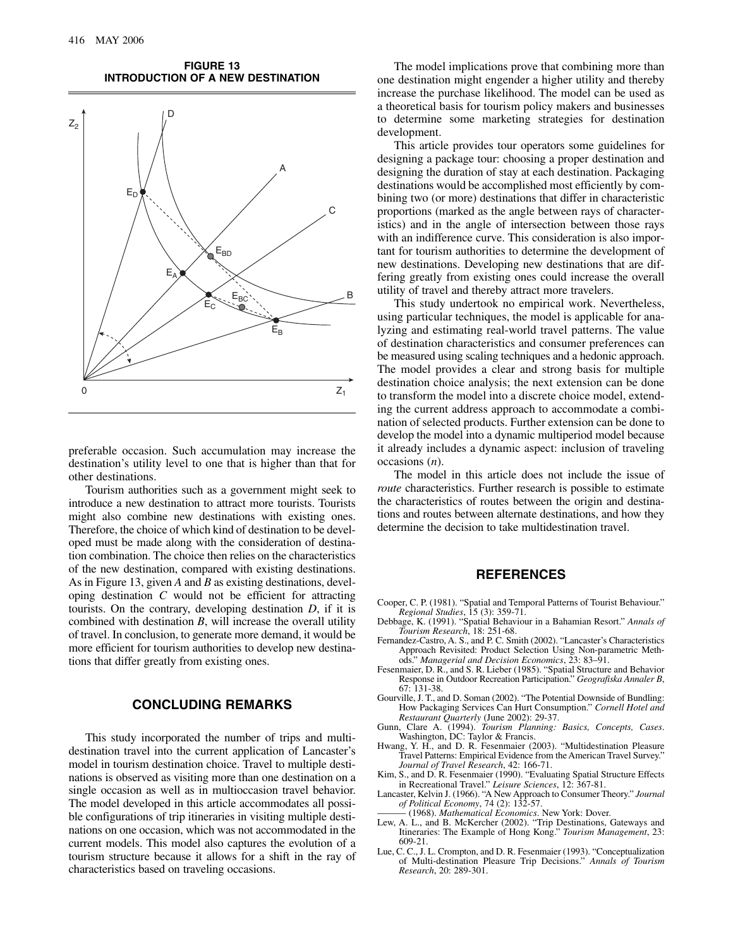**FIGURE 13 INTRODUCTION OF A NEW DESTINATION**



preferable occasion. Such accumulation may increase the destination's utility level to one that is higher than that for other destinations.

Tourism authorities such as a government might seek to introduce a new destination to attract more tourists. Tourists might also combine new destinations with existing ones. Therefore, the choice of which kind of destination to be developed must be made along with the consideration of destination combination. The choice then relies on the characteristics of the new destination, compared with existing destinations. As in Figure 13, given *A* and *B* as existing destinations, developing destination *C* would not be efficient for attracting tourists. On the contrary, developing destination *D*, if it is combined with destination *B*, will increase the overall utility of travel. In conclusion, to generate more demand, it would be more efficient for tourism authorities to develop new destinations that differ greatly from existing ones.

### **CONCLUDING REMARKS**

This study incorporated the number of trips and multidestination travel into the current application of Lancaster's model in tourism destination choice. Travel to multiple destinations is observed as visiting more than one destination on a single occasion as well as in multioccasion travel behavior. The model developed in this article accommodates all possible configurations of trip itineraries in visiting multiple destinations on one occasion, which was not accommodated in the current models. This model also captures the evolution of a tourism structure because it allows for a shift in the ray of characteristics based on traveling occasions.

The model implications prove that combining more than one destination might engender a higher utility and thereby increase the purchase likelihood. The model can be used as a theoretical basis for tourism policy makers and businesses to determine some marketing strategies for destination development.

This article provides tour operators some guidelines for designing a package tour: choosing a proper destination and designing the duration of stay at each destination. Packaging destinations would be accomplished most efficiently by combining two (or more) destinations that differ in characteristic proportions (marked as the angle between rays of characteristics) and in the angle of intersection between those rays with an indifference curve. This consideration is also important for tourism authorities to determine the development of new destinations. Developing new destinations that are differing greatly from existing ones could increase the overall utility of travel and thereby attract more travelers.

This study undertook no empirical work. Nevertheless, using particular techniques, the model is applicable for analyzing and estimating real-world travel patterns. The value of destination characteristics and consumer preferences can be measured using scaling techniques and a hedonic approach. The model provides a clear and strong basis for multiple destination choice analysis; the next extension can be done to transform the model into a discrete choice model, extending the current address approach to accommodate a combination of selected products. Further extension can be done to develop the model into a dynamic multiperiod model because it already includes a dynamic aspect: inclusion of traveling occasions (*n*).

The model in this article does not include the issue of *route* characteristics. Further research is possible to estimate the characteristics of routes between the origin and destinations and routes between alternate destinations, and how they determine the decision to take multidestination travel.

#### **REFERENCES**

- Cooper, C. P. (1981). "Spatial and Temporal Patterns of Tourist Behaviour." *Regional Studies*, 15 (3): 359-71.
- Debbage, K. (1991). "Spatial Behaviour in a Bahamian Resort." *Annals of Tourism Research*, 18: 251-68.
- Fernandez-Castro, A. S., and P. C. Smith (2002). "Lancaster's Characteristics Approach Revisited: Product Selection Using Non-parametric Methods." *Managerial and Decision Economics*, 23: 83–91.
- Fesenmaier, D. R., and S. R. Lieber (1985). "Spatial Structure and Behavior Response in Outdoor Recreation Participation." *Geografiska Annaler B*, 67: 131-38.
- Gourville, J. T., and D. Soman (2002). "The Potential Downside of Bundling: How Packaging Services Can Hurt Consumption." *Cornell Hotel and Restaurant Quarterly* (June 2002): 29-37.
- Gunn, Clare A. (1994). *Tourism Planning: Basics, Concepts, Cases*. Washington, DC: Taylor & Francis.
- Hwang, Y. H., and D. R. Fesenmaier (2003). "Multidestination Pleasure Travel Patterns: Empirical Evidence from the American Travel Survey." *Journal of Travel Research*, 42: 166-71.
- Kim, S., and D. R. Fesenmaier (1990). "Evaluating Spatial Structure Effects in Recreational Travel." *Leisure Sciences*, 12: 367-81.
- Lancaster, Kelvin J. (1966). "A New Approach to Consumer Theory." *Journal of Political Economy*, 74 (2): 132-57.
- ——— (1968). *Mathematical Economics*. New York: Dover.
- Lew, A. L., and B. McKercher (2002). "Trip Destinations, Gateways and Itineraries: The Example of Hong Kong." *Tourism Management*, 23: 609-21.
- Lue, C. C., J. L. Crompton, and D. R. Fesenmaier (1993). "Conceptualization of Multi-destination Pleasure Trip Decisions." *Annals of Tourism Research*, 20: 289-301.